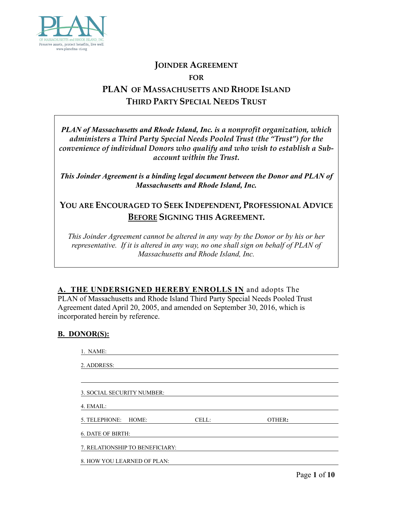

# **JOINDER AGREEMENT FOR PLAN OF MASSACHUSETTS AND RHODE ISLAND THIRD PARTY SPECIAL NEEDS TRUST**

*PLAN of Massachusetts and Rhode Island, Inc. is a nonprofit organization, which administers a Third Party Special Needs Pooled Trust (the "Trust") for the convenience of individual Donors who qualify and who wish to establish a Subaccount within the Trust.*

*This Joinder Agreement is a binding legal document between the Donor and PLAN of Massachusetts and Rhode Island, Inc.* 

## **YOU ARE ENCOURAGED TO SEEK INDEPENDENT, PROFESSIONAL ADVICE BEFORE SIGNING THIS AGREEMENT.**

*This Joinder Agreement cannot be altered in any way by the Donor or by his or her representative. If it is altered in any way, no one shall sign on behalf of PLAN of Massachusetts and Rhode Island, Inc.*

**A. THE UNDERSIGNED HEREBY ENROLLS IN** and adopts The PLAN of Massachusetts and Rhode Island Third Party Special Needs Pooled Trust Agreement dated April 20, 2005, and amended on September 30, 2016, which is incorporated herein by reference.

### **B. DONOR(S):**

| 1. NAME:                        |       |        |  |
|---------------------------------|-------|--------|--|
| 2. ADDRESS:                     |       |        |  |
|                                 |       |        |  |
| 3. SOCIAL SECURITY NUMBER:      |       |        |  |
| 4. EMAIL:                       |       |        |  |
| 5. TELEPHONE:<br>HOME:          | CELL: | OTHER: |  |
| <b>6. DATE OF BIRTH:</b>        |       |        |  |
| 7. RELATIONSHIP TO BENEFICIARY: |       |        |  |
| 8. HOW YOU LEARNED OF PLAN:     |       |        |  |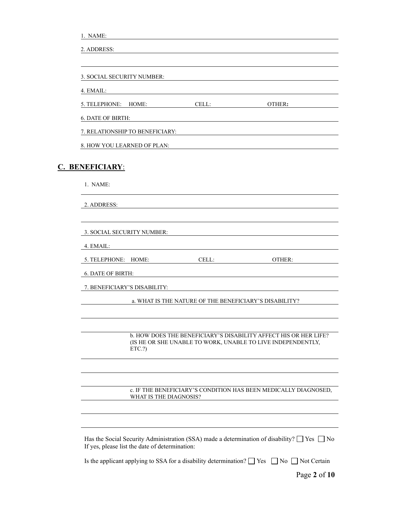| NAME: |
|-------|
|       |

| 1. <i>11 11 11</i> 11.<br>2. ADDRESS:          |                                                                                                  |                                                                                                          |
|------------------------------------------------|--------------------------------------------------------------------------------------------------|----------------------------------------------------------------------------------------------------------|
| 3. SOCIAL SECURITY NUMBER:                     |                                                                                                  |                                                                                                          |
| 4. EMAIL:                                      |                                                                                                  |                                                                                                          |
| 5. TELEPHONE: HOME:                            | <b>CELL:</b>                                                                                     | OTHER:                                                                                                   |
| <b>6. DATE OF BIRTH:</b>                       |                                                                                                  |                                                                                                          |
| 7. RELATIONSHIP TO BENEFICIARY:                |                                                                                                  |                                                                                                          |
| 8. HOW YOU LEARNED OF PLAN:                    |                                                                                                  |                                                                                                          |
|                                                |                                                                                                  |                                                                                                          |
| C. BENEFICIARY:                                |                                                                                                  |                                                                                                          |
| 1. NAME:                                       |                                                                                                  |                                                                                                          |
|                                                |                                                                                                  |                                                                                                          |
| 2. ADDRESS:                                    |                                                                                                  |                                                                                                          |
| 3. SOCIAL SECURITY NUMBER:                     |                                                                                                  |                                                                                                          |
| 4. EMAIL:                                      |                                                                                                  |                                                                                                          |
| 5. TELEPHONE: HOME:                            | CELL:                                                                                            | OTHER:                                                                                                   |
|                                                |                                                                                                  |                                                                                                          |
| <b>6. DATE OF BIRTH:</b>                       |                                                                                                  |                                                                                                          |
| 7. BENEFICIARY'S DISABILITY:                   |                                                                                                  |                                                                                                          |
|                                                | a. WHAT IS THE NATURE OF THE BENEFICIARY'S DISABILITY?                                           |                                                                                                          |
|                                                |                                                                                                  |                                                                                                          |
| ETC.?)                                         | (IS HE OR SHE UNABLE TO WORK, UNABLE TO LIVE INDEPENDENTLY,                                      | b. HOW DOES THE BENEFICIARY'S DISABILITY AFFECT HIS OR HER LIFE?                                         |
|                                                | WHAT IS THE DIAGNOSIS?                                                                           | c. IF THE BENEFICIARY'S CONDITION HAS BEEN MEDICALLY DIAGNOSED,                                          |
|                                                |                                                                                                  |                                                                                                          |
| If yes, please list the date of determination: | Has the Social Security Administration (SSA) made a determination of disability? $\square$ Yes [ | No                                                                                                       |
|                                                |                                                                                                  | Is the applicant applying to SSA for a disability determination? $\Box$ Yes $\Box$ No $\Box$ Not Certain |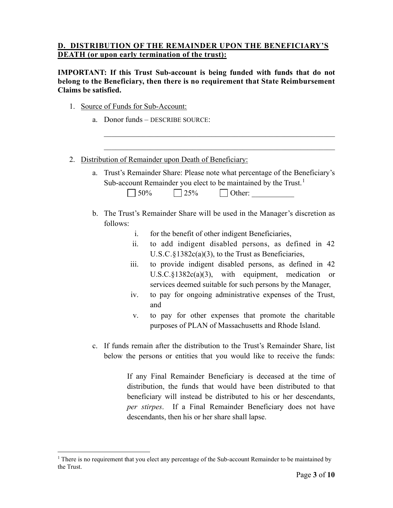### **D. DISTRIBUTION OF THE REMAINDER UPON THE BENEFICIARY'S DEATH (or upon early termination of the trust):**

**IMPORTANT: If this Trust Sub-account is being funded with funds that do not belong to the Beneficiary, then there is no requirement that State Reimbursement Claims be satisfied.**

- 1. Source of Funds for Sub-Account:
	- a. Donor funds DESCRIBE SOURCE:
- 2. Distribution of Remainder upon Death of Beneficiary:
	- a. Trust's Remainder Share: Please note what percentage of the Beneficiary's Sub-account Remainder you elect to be maintained by the Trust.<sup>[1](#page-2-0)</sup>

\_\_\_\_\_\_\_\_\_\_\_\_\_\_\_\_\_\_\_\_\_\_\_\_\_\_\_\_\_\_\_\_\_\_\_\_\_\_\_\_\_\_\_\_\_\_\_\_\_\_\_\_\_\_\_\_\_\_\_\_

\_\_\_\_\_\_\_\_\_\_\_\_\_\_\_\_\_\_\_\_\_\_\_\_\_\_\_\_\_\_\_\_\_\_\_\_\_\_\_\_\_\_\_\_\_\_\_\_\_\_\_\_\_\_\_\_\_\_\_\_

| 50% |  |
|-----|--|
|-----|--|

- $\vert$  25%  $\vert$  Other:
- b. The Trust's Remainder Share will be used in the Manager's discretion as follows:
	- i. for the benefit of other indigent Beneficiaries,
	- ii. to add indigent disabled persons, as defined in 42 U.S.C.§1382c(a)(3), to the Trust as Beneficiaries,
	- iii. to provide indigent disabled persons, as defined in 42 U.S.C.§1382c(a)(3), with equipment, medication or services deemed suitable for such persons by the Manager,
	- iv. to pay for ongoing administrative expenses of the Trust, and
	- v. to pay for other expenses that promote the charitable purposes of PLAN of Massachusetts and Rhode Island.
- c. If funds remain after the distribution to the Trust's Remainder Share, list below the persons or entities that you would like to receive the funds:

If any Final Remainder Beneficiary is deceased at the time of distribution, the funds that would have been distributed to that beneficiary will instead be distributed to his or her descendants, *per stirpes*. If a Final Remainder Beneficiary does not have descendants, then his or her share shall lapse.

<span id="page-2-0"></span> $<sup>1</sup>$  There is no requirement that you elect any percentage of the Sub-account Remainder to be maintained by</sup> the Trust.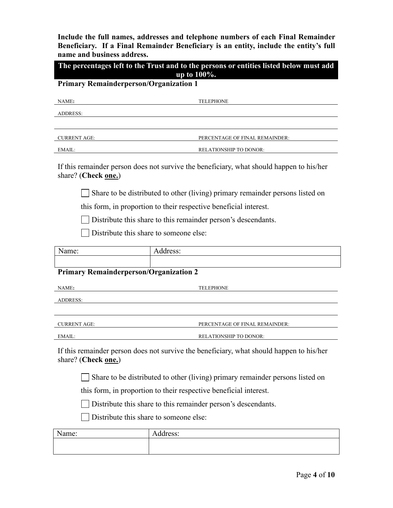**Include the full names, addresses and telephone numbers of each Final Remainder Beneficiary. If a Final Remainder Beneficiary is an entity, include the entity's full name and business address.**

**The percentages left to the Trust and to the persons or entities listed below must add up to 100%.**

#### **Primary Remainderperson/Organization 1**

| NAME:               | <b>TELEPHONE</b>               |  |
|---------------------|--------------------------------|--|
| ADDRESS:            |                                |  |
|                     |                                |  |
|                     |                                |  |
| <b>CURRENT AGE:</b> | PERCENTAGE OF FINAL REMAINDER: |  |
| EMAIL:              | <b>RELATIONSHIP TO DONOR:</b>  |  |

If this remainder person does not survive the beneficiary, what should happen to his/her share? (**Check one.**)

Share to be distributed to other (living) primary remainder persons listed on

this form, in proportion to their respective beneficial interest.

Distribute this share to this remainder person's descendants.

 $\Box$  Distribute this share to someone else:

| Name:                                                                                                                           | Address: |  |
|---------------------------------------------------------------------------------------------------------------------------------|----------|--|
|                                                                                                                                 |          |  |
| $\mathbf{D}$ $\mathbf{D}$ and $\mathbf{D}$ and $\mathbf{D}$ and $\mathbf{D}$ and $\mathbf{D}$ and $\mathbf{D}$ and $\mathbf{D}$ |          |  |

### **Primary Remainderperson/Organization 2**

NAME**:** TELEPHONE

ADDRESS:

CURRENT AGE: PERCENTAGE OF FINAL REMAINDER: EMAIL: RELATIONSHIP TO DONOR:

If this remainder person does not survive the beneficiary, what should happen to his/her share? (**Check one.**)

Share to be distributed to other (living) primary remainder persons listed on

this form, in proportion to their respective beneficial interest.

Distribute this share to this remainder person's descendants.

Distribute this share to someone else:

| <b>NT</b><br>lame: | . .<br>$A_{L}$<br>$rac{r}{r}$<br>ruuress. |
|--------------------|-------------------------------------------|
|                    |                                           |
|                    |                                           |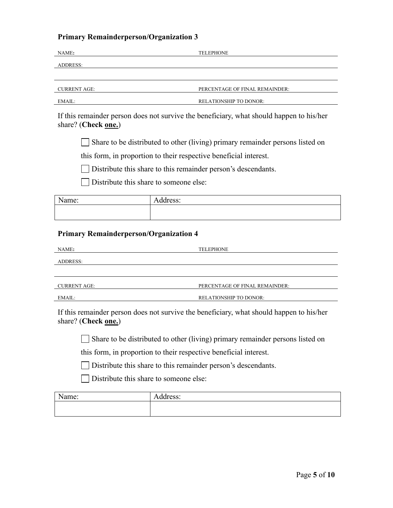## **Primary Remainderperson/Organization 3**

| NAME:                                                         | <b>TELEPHONE</b>                                                                         |  |
|---------------------------------------------------------------|------------------------------------------------------------------------------------------|--|
| <b>ADDRESS:</b>                                               |                                                                                          |  |
|                                                               |                                                                                          |  |
| <b>CURRENT AGE:</b>                                           | PERCENTAGE OF FINAL REMAINDER:                                                           |  |
| EMAIL:                                                        | RELATIONSHIP TO DONOR:                                                                   |  |
| share? (Check one.)                                           | If this remainder person does not survive the beneficiary, what should happen to his/her |  |
|                                                               | Share to be distributed to other (living) primary remainder persons listed on            |  |
|                                                               | this form, in proportion to their respective beneficial interest.                        |  |
|                                                               | Distribute this share to this remainder person's descendants.                            |  |
| Distribute this share to someone else:                        |                                                                                          |  |
|                                                               |                                                                                          |  |
| Name:                                                         | Address:                                                                                 |  |
|                                                               |                                                                                          |  |
| <b>Primary Remainderperson/Organization 4</b>                 |                                                                                          |  |
| NAME:<br><b>TELEPHONE</b>                                     |                                                                                          |  |
| ADDRESS:                                                      |                                                                                          |  |
|                                                               |                                                                                          |  |
| <b>CURRENT AGE:</b>                                           | PERCENTAGE OF FINAL REMAINDER:                                                           |  |
| EMAIL:                                                        | <b>RELATIONSHIP TO DONOR:</b>                                                            |  |
| share? (Check one.)                                           | If this remainder person does not survive the beneficiary, what should happen to his/her |  |
|                                                               | Share to be distributed to other (living) primary remainder persons listed on            |  |
|                                                               | this form, in proportion to their respective beneficial interest.                        |  |
| Distribute this share to this remainder person's descendants. |                                                                                          |  |
| Distribute this share to someone else:                        |                                                                                          |  |
| Name:                                                         | Address:                                                                                 |  |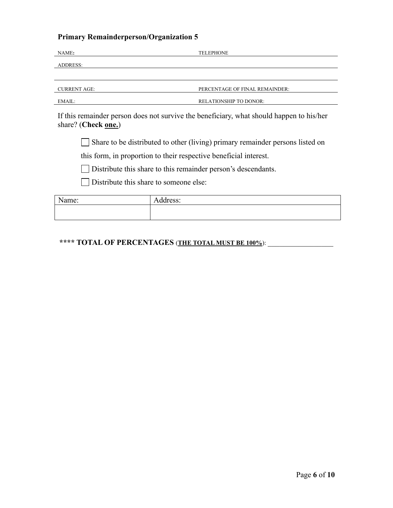## **Primary Remainderperson/Organization 5**

| NAME:                                                         | <b>TELEPHONE</b>                                                                         |
|---------------------------------------------------------------|------------------------------------------------------------------------------------------|
| <b>ADDRESS:</b>                                               |                                                                                          |
|                                                               |                                                                                          |
| <b>CURRENT AGE:</b>                                           | PERCENTAGE OF FINAL REMAINDER:                                                           |
| EMAIL:                                                        | <b>RELATIONSHIP TO DONOR:</b>                                                            |
| share? (Check one.)                                           | If this remainder person does not survive the beneficiary, what should happen to his/her |
|                                                               | Share to be distributed to other (living) primary remainder persons listed on            |
|                                                               | this form, in proportion to their respective beneficial interest.                        |
| Distribute this share to this remainder person's descendants. |                                                                                          |
| Distribute this share to someone else:                        |                                                                                          |
| Name:                                                         | Address:                                                                                 |
|                                                               |                                                                                          |

## **\*\*\*\* TOTAL OF PERCENTAGES** (**THE TOTAL MUST BE 100%**): \_\_\_\_\_\_\_\_\_\_\_\_\_\_\_\_\_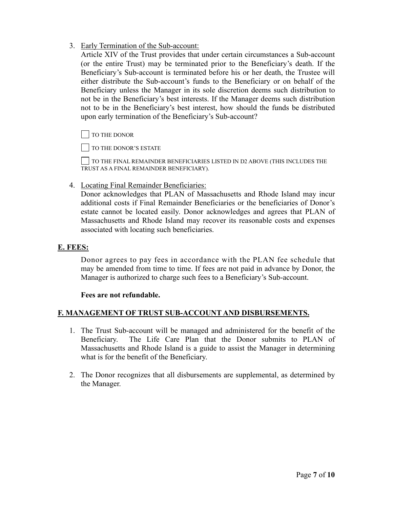3. Early Termination of the Sub-account:

Article XIV of the Trust provides that under certain circumstances a Sub-account (or the entire Trust) may be terminated prior to the Beneficiary's death. If the Beneficiary's Sub-account is terminated before his or her death, the Trustee will either distribute the Sub-account's funds to the Beneficiary or on behalf of the Beneficiary unless the Manager in its sole discretion deems such distribution to not be in the Beneficiary's best interests. If the Manager deems such distribution not to be in the Beneficiary's best interest, how should the funds be distributed upon early termination of the Beneficiary's Sub-account?

TO THE DONOR

TO THE DONOR'S ESTATE

TO THE FINAL REMAINDER BENEFICIARIES LISTED IN D2 ABOVE (THIS INCLUDES THE TRUST AS A FINAL REMAINDER BENEFICIARY).

### 4. Locating Final Remainder Beneficiaries:

Donor acknowledges that PLAN of Massachusetts and Rhode Island may incur additional costs if Final Remainder Beneficiaries or the beneficiaries of Donor's estate cannot be located easily. Donor acknowledges and agrees that PLAN of Massachusetts and Rhode Island may recover its reasonable costs and expenses associated with locating such beneficiaries.

### **E. FEES:**

Donor agrees to pay fees in accordance with the PLAN fee schedule that may be amended from time to time. If fees are not paid in advance by Donor, the Manager is authorized to charge such fees to a Beneficiary's Sub-account.

### **Fees are not refundable.**

### **F. MANAGEMENT OF TRUST SUB-ACCOUNT AND DISBURSEMENTS.**

- 1. The Trust Sub-account will be managed and administered for the benefit of the Beneficiary. The Life Care Plan that the Donor submits to PLAN of Massachusetts and Rhode Island is a guide to assist the Manager in determining what is for the benefit of the Beneficiary.
- 2. The Donor recognizes that all disbursements are supplemental, as determined by the Manager.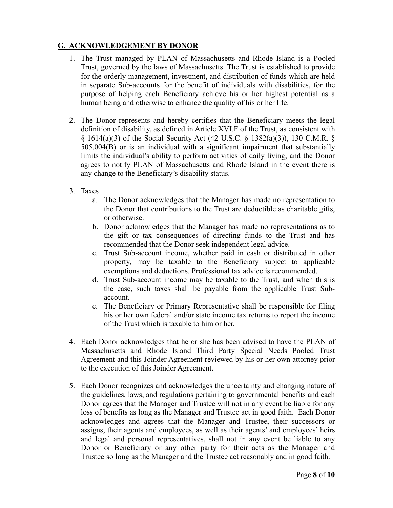### **G. ACKNOWLEDGEMENT BY DONOR**

- 1. The Trust managed by PLAN of Massachusetts and Rhode Island is a Pooled Trust, governed by the laws of Massachusetts. The Trust is established to provide for the orderly management, investment, and distribution of funds which are held in separate Sub-accounts for the benefit of individuals with disabilities, for the purpose of helping each Beneficiary achieve his or her highest potential as a human being and otherwise to enhance the quality of his or her life.
- 2. The Donor represents and hereby certifies that the Beneficiary meets the legal definition of disability, as defined in Article XVI.F of the Trust, as consistent with § 1614(a)(3) of the Social Security Act (42 U.S.C. § 1382(a)(3)), 130 C.M.R. § 505.004(B) or is an individual with a significant impairment that substantially limits the individual's ability to perform activities of daily living, and the Donor agrees to notify PLAN of Massachusetts and Rhode Island in the event there is any change to the Beneficiary's disability status.
- 3. Taxes
	- a. The Donor acknowledges that the Manager has made no representation to the Donor that contributions to the Trust are deductible as charitable gifts, or otherwise.
	- b. Donor acknowledges that the Manager has made no representations as to the gift or tax consequences of directing funds to the Trust and has recommended that the Donor seek independent legal advice.
	- c. Trust Sub-account income, whether paid in cash or distributed in other property, may be taxable to the Beneficiary subject to applicable exemptions and deductions. Professional tax advice is recommended.
	- d. Trust Sub-account income may be taxable to the Trust, and when this is the case, such taxes shall be payable from the applicable Trust Subaccount.
	- e. The Beneficiary or Primary Representative shall be responsible for filing his or her own federal and/or state income tax returns to report the income of the Trust which is taxable to him or her.
- 4. Each Donor acknowledges that he or she has been advised to have the PLAN of Massachusetts and Rhode Island Third Party Special Needs Pooled Trust Agreement and this Joinder Agreement reviewed by his or her own attorney prior to the execution of this Joinder Agreement.
- 5. Each Donor recognizes and acknowledges the uncertainty and changing nature of the guidelines, laws, and regulations pertaining to governmental benefits and each Donor agrees that the Manager and Trustee will not in any event be liable for any loss of benefits as long as the Manager and Trustee act in good faith. Each Donor acknowledges and agrees that the Manager and Trustee, their successors or assigns, their agents and employees, as well as their agents' and employees' heirs and legal and personal representatives, shall not in any event be liable to any Donor or Beneficiary or any other party for their acts as the Manager and Trustee so long as the Manager and the Trustee act reasonably and in good faith.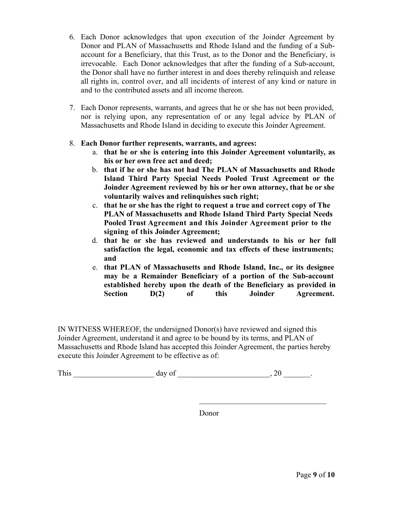- 6. Each Donor acknowledges that upon execution of the Joinder Agreement by Donor and PLAN of Massachusetts and Rhode Island and the funding of a Subaccount for a Beneficiary, that this Trust, as to the Donor and the Beneficiary, is irrevocable. Each Donor acknowledges that after the funding of a Sub-account, the Donor shall have no further interest in and does thereby relinquish and release all rights in, control over, and all incidents of interest of any kind or nature in and to the contributed assets and all income thereon.
- 7. Each Donor represents, warrants, and agrees that he or she has not been provided, nor is relying upon, any representation of or any legal advice by PLAN of Massachusetts and Rhode Island in deciding to execute this Joinder Agreement.

### 8. **Each Donor further represents, warrants, and agrees:**

- a. **that he or she is entering into this Joinder Agreement voluntarily, as his or her own free act and deed;**
- b. **that if he or she has not had The PLAN of Massachusetts and Rhode Island Third Party Special Needs Pooled Trust Agreement or the Joinder Agreement reviewed by his or her own attorney, that he or she voluntarily waives and relinquishes such right;**
- c. **that he or she has the right to request a true and correct copy of The PLAN of Massachusetts and Rhode Island Third Party Special Needs Pooled Trust Agreement and this Joinder Agreement prior to the signing of this Joinder Agreement;**
- d. **that he or she has reviewed and understands to his or her full satisfaction the legal, economic and tax effects of these instruments; and**
- e. **that PLAN of Massachusetts and Rhode Island, Inc., or its designee may be a Remainder Beneficiary of a portion of the Sub-account established hereby upon the death of the Beneficiary as provided in Section D(2) of this Joinder Agreement.**

IN WITNESS WHEREOF, the undersigned Donor(s) have reviewed and signed this Joinder Agreement, understand it and agree to be bound by its terms, and PLAN of Massachusetts and Rhode Island has accepted this Joinder Agreement, the parties hereby execute this Joinder Agreement to be effective as of:

| T <sub>1</sub><br>$h_1$<br>1 1112 | day of | $\sim$ $\sim$ |
|-----------------------------------|--------|---------------|
|-----------------------------------|--------|---------------|

Donor

 $\mathcal{L}_\text{max}$  , and the set of the set of the set of the set of the set of the set of the set of the set of the set of the set of the set of the set of the set of the set of the set of the set of the set of the set of the